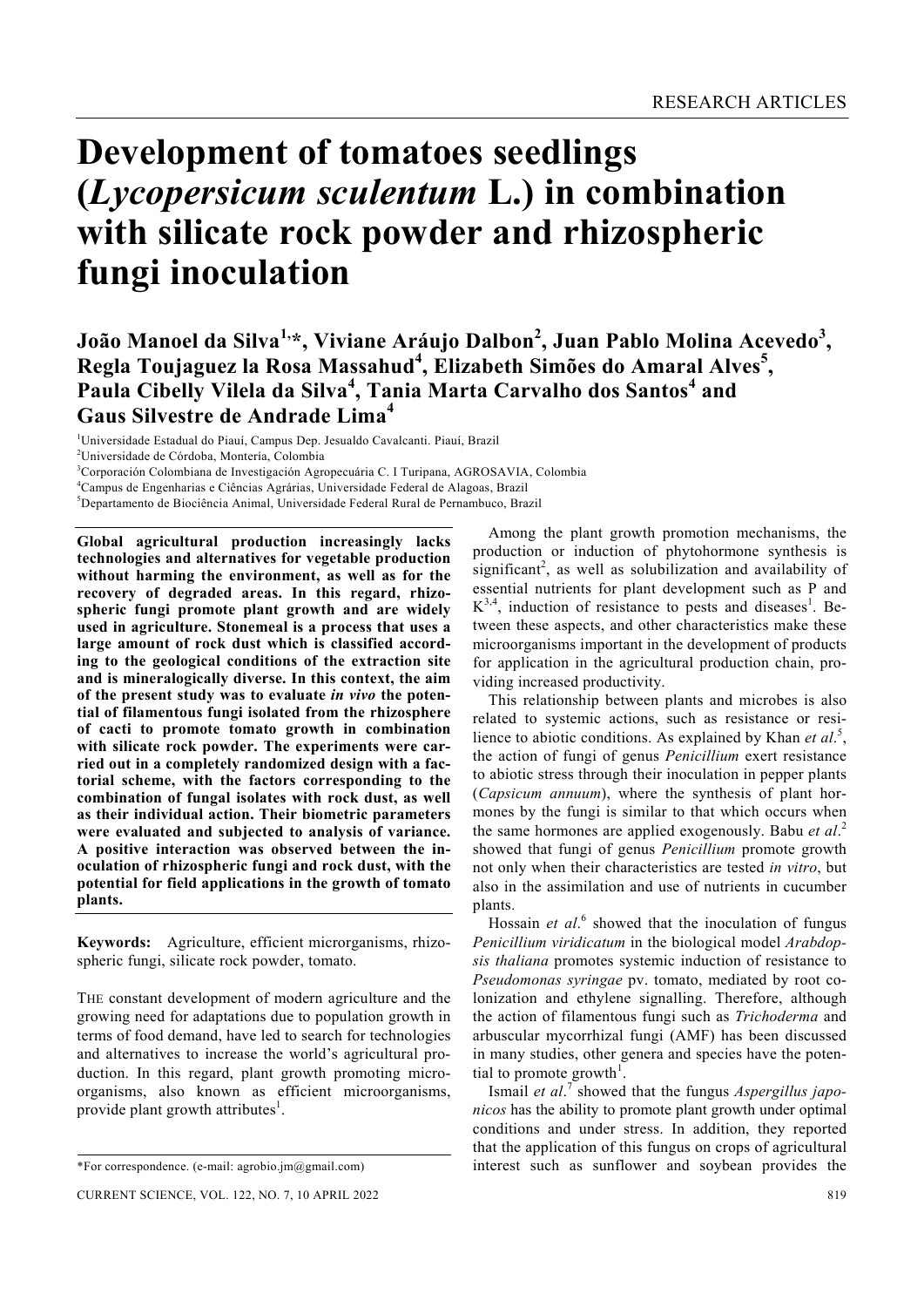# **Development of tomatoes seedlings (***Lycopersicum sculentum* **L.) in combination with silicate rock powder and rhizospheric fungi inoculation**

## **João Manoel da Silva1,\*, Viviane Aráujo Dalbon2 , Juan Pablo Molina Acevedo<sup>3</sup> , Regla Toujaguez la Rosa Massahud<sup>4</sup> , Elizabeth Simões do Amaral Alves<sup>5</sup> ,**  Paula Cibelly Vilela da Silva<sup>4</sup>, Tania Marta Carvalho dos Santos<sup>4</sup> and **Gaus Silvestre de Andrade Lima<sup>4</sup>**

1 Universidade Estadual do Piauí, Campus Dep. Jesualdo Cavalcanti. Piauí, Brazil

3 Corporación Colombiana de Investigación Agropecuária C. I Turipana, AGROSAVIA, Colombia

**Global agricultural production increasingly lacks technologies and alternatives for vegetable production without harming the environment, as well as for the recovery of degraded areas. In this regard, rhizospheric fungi promote plant growth and are widely used in agriculture. Stonemeal is a process that uses a large amount of rock dust which is classified according to the geological conditions of the extraction site and is mineralogically diverse. In this context, the aim of the present study was to evaluate** *in vivo* **the potential of filamentous fungi isolated from the rhizosphere of cacti to promote tomato growth in combination with silicate rock powder. The experiments were carried out in a completely randomized design with a factorial scheme, with the factors corresponding to the combination of fungal isolates with rock dust, as well as their individual action. Their biometric parameters were evaluated and subjected to analysis of variance. A positive interaction was observed between the inoculation of rhizospheric fungi and rock dust, with the potential for field applications in the growth of tomato plants.** 

**Keywords:** Agriculture, efficient microrganisms, rhizospheric fungi, silicate rock powder, tomato.

THE constant development of modern agriculture and the growing need for adaptations due to population growth in terms of food demand, have led to search for technologies and alternatives to increase the world's agricultural production. In this regard, plant growth promoting microorganisms, also known as efficient microorganisms, provide plant growth attributes<sup>1</sup>.

 Among the plant growth promotion mechanisms, the production or induction of phytohormone synthesis is significant<sup>2</sup>, as well as solubilization and availability of essential nutrients for plant development such as P and  $K^{3,4}$ , induction of resistance to pests and diseases<sup>1</sup>. Between these aspects, and other characteristics make these microorganisms important in the development of products for application in the agricultural production chain, providing increased productivity.

 This relationship between plants and microbes is also related to systemic actions, such as resistance or resilience to abiotic conditions. As explained by Khan *et al*. 5 , the action of fungi of genus *Penicillium* exert resistance to abiotic stress through their inoculation in pepper plants (*Capsicum annuum*), where the synthesis of plant hormones by the fungi is similar to that which occurs when the same hormones are applied exogenously. Babu *et al*. 2 showed that fungi of genus *Penicillium* promote growth not only when their characteristics are tested *in vitro*, but also in the assimilation and use of nutrients in cucumber plants.

Hossain et al.<sup>6</sup> showed that the inoculation of fungus *Penicillium viridicatum* in the biological model *Arabdopsis thaliana* promotes systemic induction of resistance to *Pseudomonas syringae* pv. tomato, mediated by root colonization and ethylene signalling. Therefore, although the action of filamentous fungi such as *Trichoderma* and arbuscular mycorrhizal fungi (AMF) has been discussed in many studies, other genera and species have the potential to promote growth<sup>1</sup>.

Ismail *et al.*<sup>7</sup> showed that the fungus *Aspergillus japonicos* has the ability to promote plant growth under optimal conditions and under stress. In addition, they reported that the application of this fungus on crops of agricultural interest such as sunflower and soybean provides the

<sup>2</sup> Universidade de Córdoba, Montería, Colombia

<sup>4</sup> Campus de Engenharias e Ciências Agrárias, Universidade Federal de Alagoas, Brazil

<sup>5</sup> Departamento de Biociência Animal, Universidade Federal Rural de Pernambuco, Brazil

<sup>\*</sup>For correspondence. (e-mail: agrobio.jm@gmail.com)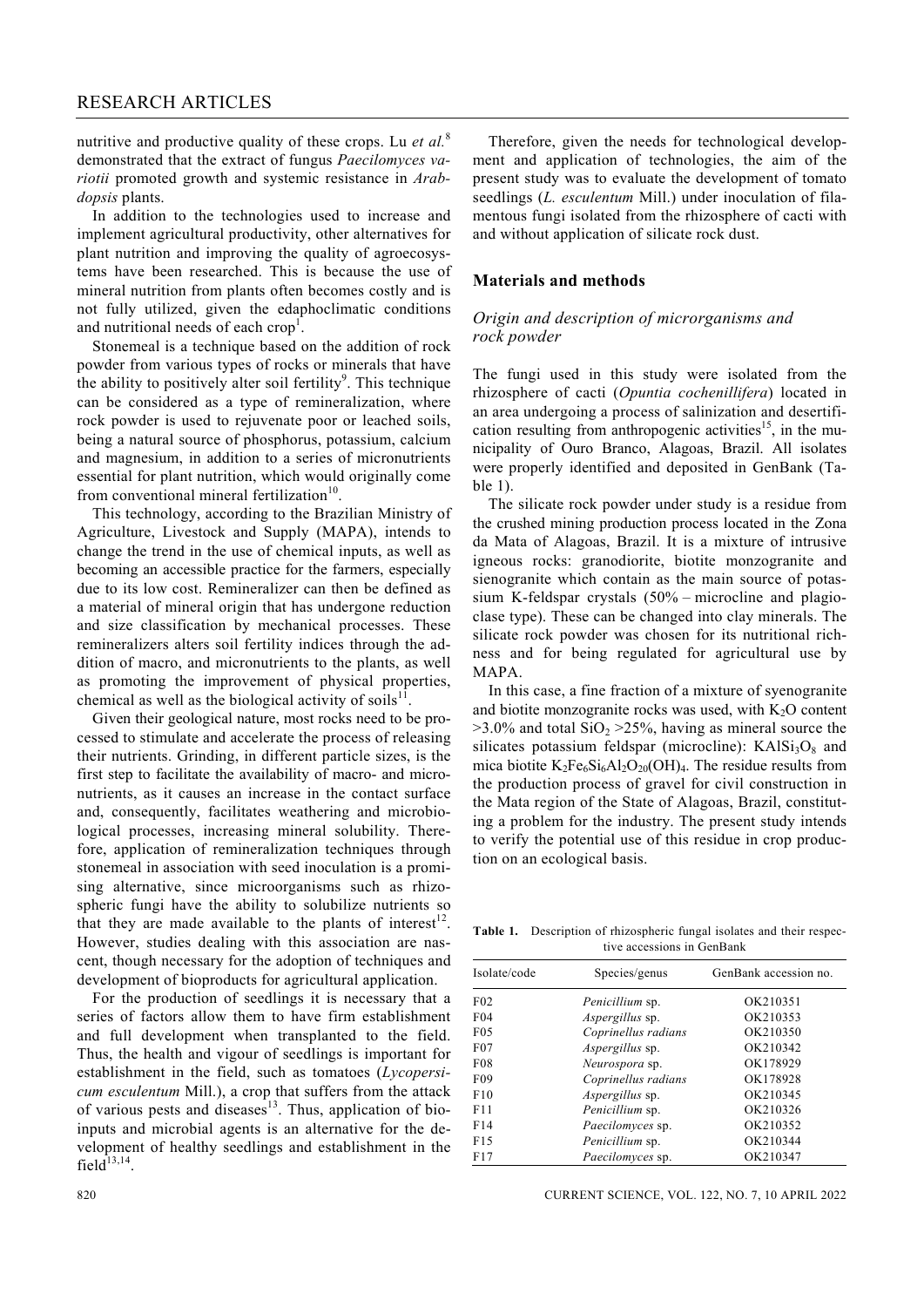nutritive and productive quality of these crops. Lu *et al.*<sup>8</sup> demonstrated that the extract of fungus *Paecilomyces variotii* promoted growth and systemic resistance in *Arabdopsis* plants.

 In addition to the technologies used to increase and implement agricultural productivity, other alternatives for plant nutrition and improving the quality of agroecosystems have been researched. This is because the use of mineral nutrition from plants often becomes costly and is not fully utilized, given the edaphoclimatic conditions and nutritional needs of each crop<sup>1</sup>.

 Stonemeal is a technique based on the addition of rock powder from various types of rocks or minerals that have the ability to positively alter soil fertility<sup>9</sup>. This technique can be considered as a type of remineralization, where rock powder is used to rejuvenate poor or leached soils, being a natural source of phosphorus, potassium, calcium and magnesium, in addition to a series of micronutrients essential for plant nutrition, which would originally come from conventional mineral fertilization $10$ .

 This technology, according to the Brazilian Ministry of Agriculture, Livestock and Supply (MAPA), intends to change the trend in the use of chemical inputs, as well as becoming an accessible practice for the farmers, especially due to its low cost. Remineralizer can then be defined as a material of mineral origin that has undergone reduction and size classification by mechanical processes. These remineralizers alters soil fertility indices through the addition of macro, and micronutrients to the plants, as well as promoting the improvement of physical properties, chemical as well as the biological activity of soils $11$ .

 Given their geological nature, most rocks need to be processed to stimulate and accelerate the process of releasing their nutrients. Grinding, in different particle sizes, is the first step to facilitate the availability of macro- and micronutrients, as it causes an increase in the contact surface and, consequently, facilitates weathering and microbiological processes, increasing mineral solubility. Therefore, application of remineralization techniques through stonemeal in association with seed inoculation is a promising alternative, since microorganisms such as rhizospheric fungi have the ability to solubilize nutrients so that they are made available to the plants of interest<sup>12</sup>. However, studies dealing with this association are nascent, though necessary for the adoption of techniques and development of bioproducts for agricultural application.

 For the production of seedlings it is necessary that a series of factors allow them to have firm establishment and full development when transplanted to the field. Thus, the health and vigour of seedlings is important for establishment in the field, such as tomatoes (*Lycopersicum esculentum* Mill.), a crop that suffers from the attack of various pests and diseases $13$ . Thus, application of bioinputs and microbial agents is an alternative for the development of healthy seedlings and establishment in the field $13,14$ .

 Therefore, given the needs for technological development and application of technologies, the aim of the present study was to evaluate the development of tomato seedlings (*L. esculentum* Mill.) under inoculation of filamentous fungi isolated from the rhizosphere of cacti with and without application of silicate rock dust.

#### **Materials and methods**

#### *Origin and description of microrganisms and rock powder*

The fungi used in this study were isolated from the rhizosphere of cacti (*Opuntia cochenillifera*) located in an area undergoing a process of salinization and desertification resulting from anthropogenic activities<sup>15</sup>, in the municipality of Ouro Branco, Alagoas, Brazil. All isolates were properly identified and deposited in GenBank (Table 1).

 The silicate rock powder under study is a residue from the crushed mining production process located in the Zona da Mata of Alagoas, Brazil. It is a mixture of intrusive igneous rocks: granodiorite, biotite monzogranite and sienogranite which contain as the main source of potassium K-feldspar crystals (50% – microcline and plagioclase type). These can be changed into clay minerals. The silicate rock powder was chosen for its nutritional richness and for being regulated for agricultural use by MAPA.

 In this case, a fine fraction of a mixture of syenogranite and biotite monzogranite rocks was used, with  $K<sub>2</sub>O$  content  $>3.0\%$  and total SiO<sub>2</sub>  $>25\%$ , having as mineral source the silicates potassium feldspar (microcline):  $KAISi<sub>3</sub>O<sub>8</sub>$  and mica biotite  $K_2Fe_6Si_6Al_2O_{20}(OH)_4$ . The residue results from the production process of gravel for civil construction in the Mata region of the State of Alagoas, Brazil, constituting a problem for the industry. The present study intends to verify the potential use of this residue in crop production on an ecological basis.

**Table 1.** Description of rhizospheric fungal isolates and their respec tive accessions in GenBank

| Isolate/code    | Species/genus           | GenBank accession no. |
|-----------------|-------------------------|-----------------------|
| F <sub>02</sub> | <i>Penicillium</i> sp.  | OK210351              |
| F <sub>04</sub> | <i>Aspergillus</i> sp.  | OK210353              |
| F <sub>05</sub> | Coprinellus radians     | OK210350              |
| $F_{07}$        | Aspergillus sp.         | OK210342              |
| <b>F08</b>      | Neurospora sp.          | OK178929              |
| F <sub>09</sub> | Coprinellus radians     | OK178928              |
| F10             | <i>Aspergillus</i> sp.  | OK210345              |
| F11             | Penicillium sp.         | OK210326              |
| F14             | Paecilomyces sp.        | OK210352              |
| F <sub>15</sub> | Penicillium sp.         | OK210344              |
| F17             | <i>Paecilomyces sp.</i> | OK210347              |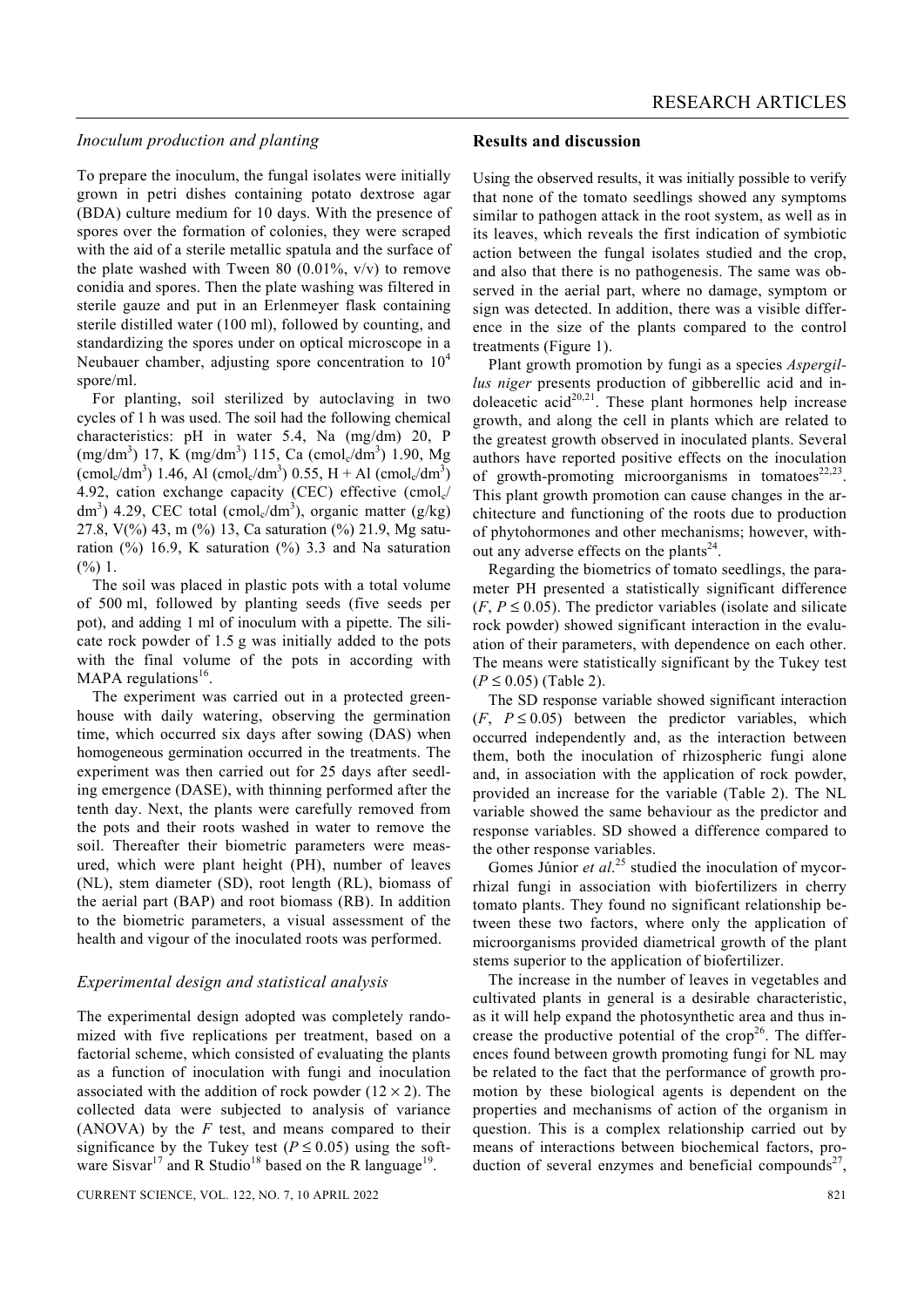#### *Inoculum production and planting*

To prepare the inoculum, the fungal isolates were initially grown in petri dishes containing potato dextrose agar (BDA) culture medium for 10 days. With the presence of spores over the formation of colonies, they were scraped with the aid of a sterile metallic spatula and the surface of the plate washed with Tween 80 (0.01%,  $v/v$ ) to remove conidia and spores. Then the plate washing was filtered in sterile gauze and put in an Erlenmeyer flask containing sterile distilled water (100 ml), followed by counting, and standardizing the spores under on optical microscope in a Neubauer chamber, adjusting spore concentration to  $10<sup>4</sup>$ spore/ml.

 For planting, soil sterilized by autoclaving in two cycles of 1 h was used. The soil had the following chemical characteristics: pH in water 5.4, Na (mg/dm) 20, P (mg/dm<sup>3</sup>) 17, K (mg/dm<sup>3</sup>) 115, Ca (cmol<sub>c</sub>/dm<sup>3</sup>) 1.90, Mg  $(\text{cmol}_c/\text{dm}^3)$  1.46, Al  $(\text{cmol}_c/\text{dm}^3)$  0.55, H + Al  $(\text{cmol}_c/\text{dm}^3)$ 4.92, cation exchange capacity (CEC) effective  $\text{cmol}_c/\text{}$ dm<sup>3</sup>) 4.29, CEC total (cmol<sub>c</sub>/dm<sup>3</sup>), organic matter (g/kg) 27.8, V(%) 43, m (%) 13, Ca saturation (%) 21.9, Mg saturation  $(\%)$  16.9, K saturation  $(\%)$  3.3 and Na saturation  $(%) 1.$ 

 The soil was placed in plastic pots with a total volume of 500 ml, followed by planting seeds (five seeds per pot), and adding 1 ml of inoculum with a pipette. The silicate rock powder of 1.5 g was initially added to the pots with the final volume of the pots in according with MAPA regulations<sup>16</sup>.

 The experiment was carried out in a protected greenhouse with daily watering, observing the germination time, which occurred six days after sowing (DAS) when homogeneous germination occurred in the treatments. The experiment was then carried out for 25 days after seedling emergence (DASE), with thinning performed after the tenth day. Next, the plants were carefully removed from the pots and their roots washed in water to remove the soil. Thereafter their biometric parameters were measured, which were plant height (PH), number of leaves (NL), stem diameter (SD), root length (RL), biomass of the aerial part (BAP) and root biomass (RB). In addition to the biometric parameters, a visual assessment of the health and vigour of the inoculated roots was performed.

#### *Experimental design and statistical analysis*

The experimental design adopted was completely randomized with five replications per treatment, based on a factorial scheme, which consisted of evaluating the plants as a function of inoculation with fungi and inoculation associated with the addition of rock powder  $(12 \times 2)$ . The collected data were subjected to analysis of variance (ANOVA) by the *F* test, and means compared to their significance by the Tukey test ( $P \le 0.05$ ) using the software Sisvar<sup>17</sup> and R Studio<sup>18</sup> based on the R language<sup>19</sup>.

#### **Results and discussion**

Using the observed results, it was initially possible to verify that none of the tomato seedlings showed any symptoms similar to pathogen attack in the root system, as well as in its leaves, which reveals the first indication of symbiotic action between the fungal isolates studied and the crop, and also that there is no pathogenesis. The same was observed in the aerial part, where no damage, symptom or sign was detected. In addition, there was a visible difference in the size of the plants compared to the control treatments (Figure 1).

 Plant growth promotion by fungi as a species *Aspergillus niger* presents production of gibberellic acid and indoleacetic acid<sup>20,21</sup>. These plant hormones help increase growth, and along the cell in plants which are related to the greatest growth observed in inoculated plants. Several authors have reported positive effects on the inoculation of growth-promoting microorganisms in tomatoes<sup>22,23</sup>. This plant growth promotion can cause changes in the architecture and functioning of the roots due to production of phytohormones and other mechanisms; however, without any adverse effects on the plants<sup>24</sup>.

 Regarding the biometrics of tomato seedlings, the parameter PH presented a statistically significant difference  $(F, P \le 0.05)$ . The predictor variables (isolate and silicate rock powder) showed significant interaction in the evaluation of their parameters, with dependence on each other. The means were statistically significant by the Tukey test (*P* ≤ 0.05) (Table 2).

 The SD response variable showed significant interaction  $(F, P \le 0.05)$  between the predictor variables, which occurred independently and, as the interaction between them, both the inoculation of rhizospheric fungi alone and, in association with the application of rock powder, provided an increase for the variable (Table 2). The NL variable showed the same behaviour as the predictor and response variables. SD showed a difference compared to the other response variables.

Gomes Júnior *et al.*<sup>25</sup> studied the inoculation of mycorrhizal fungi in association with biofertilizers in cherry tomato plants. They found no significant relationship between these two factors, where only the application of microorganisms provided diametrical growth of the plant stems superior to the application of biofertilizer.

 The increase in the number of leaves in vegetables and cultivated plants in general is a desirable characteristic, as it will help expand the photosynthetic area and thus increase the productive potential of the  $\text{crop}^{26}$ . The differences found between growth promoting fungi for NL may be related to the fact that the performance of growth promotion by these biological agents is dependent on the properties and mechanisms of action of the organism in question. This is a complex relationship carried out by means of interactions between biochemical factors, production of several enzymes and beneficial compounds<sup>27</sup>,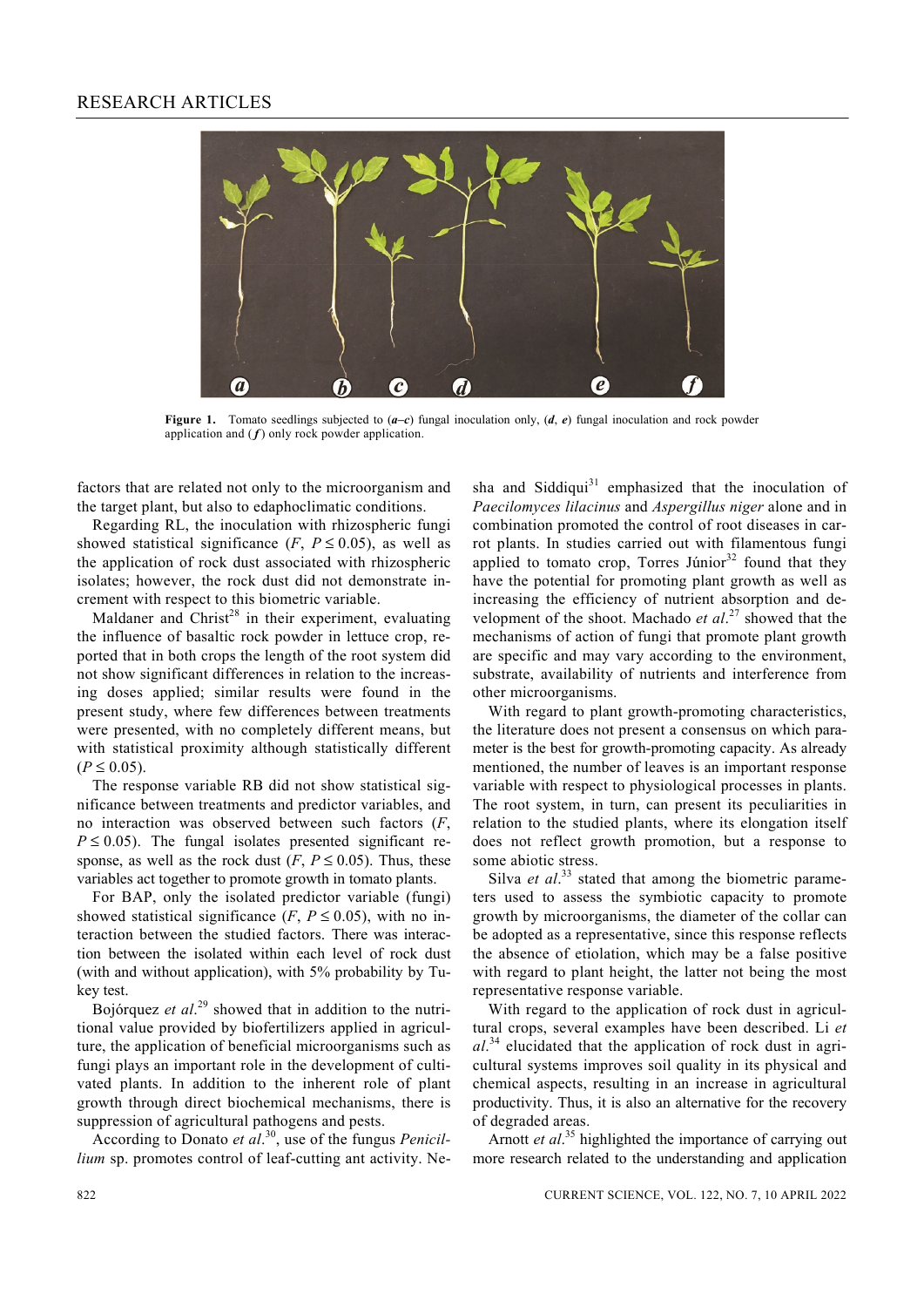

**Figure 1.** Tomato seedlings subjected to  $(a-e)$  fungal inoculation only,  $(d, e)$  fungal inoculation and rock powder application and  $(f)$  only rock powder application.

factors that are related not only to the microorganism and the target plant, but also to edaphoclimatic conditions.

 Regarding RL, the inoculation with rhizospheric fungi showed statistical significance  $(F, P \le 0.05)$ , as well as the application of rock dust associated with rhizospheric isolates; however, the rock dust did not demonstrate increment with respect to this biometric variable.

Maldaner and Christ<sup>28</sup> in their experiment, evaluating the influence of basaltic rock powder in lettuce crop, reported that in both crops the length of the root system did not show significant differences in relation to the increasing doses applied; similar results were found in the present study, where few differences between treatments were presented, with no completely different means, but with statistical proximity although statistically different  $(P \le 0.05)$ .

 The response variable RB did not show statistical significance between treatments and predictor variables, and no interaction was observed between such factors (*F*,  $P \le 0.05$ ). The fungal isolates presented significant response, as well as the rock dust  $(F, P \le 0.05)$ . Thus, these variables act together to promote growth in tomato plants.

 For BAP, only the isolated predictor variable (fungi) showed statistical significance  $(F, P \le 0.05)$ , with no interaction between the studied factors. There was interaction between the isolated within each level of rock dust (with and without application), with 5% probability by Tukey test.

 Bojórquez *et al*. 29 showed that in addition to the nutritional value provided by biofertilizers applied in agriculture, the application of beneficial microorganisms such as fungi plays an important role in the development of cultivated plants. In addition to the inherent role of plant growth through direct biochemical mechanisms, there is suppression of agricultural pathogens and pests.

 According to Donato *et al*. 30, use of the fungus *Penicillium* sp. promotes control of leaf-cutting ant activity. Nesha and Siddiqui<sup>31</sup> emphasized that the inoculation of *Paecilomyces lilacinus* and *Aspergillus niger* alone and in combination promoted the control of root diseases in carrot plants. In studies carried out with filamentous fungi applied to tomato crop, Torres Júnior $32$  found that they have the potential for promoting plant growth as well as increasing the efficiency of nutrient absorption and development of the shoot. Machado *et al*. 27 showed that the mechanisms of action of fungi that promote plant growth are specific and may vary according to the environment, substrate, availability of nutrients and interference from other microorganisms.

 With regard to plant growth-promoting characteristics, the literature does not present a consensus on which parameter is the best for growth-promoting capacity. As already mentioned, the number of leaves is an important response variable with respect to physiological processes in plants. The root system, in turn, can present its peculiarities in relation to the studied plants, where its elongation itself does not reflect growth promotion, but a response to some abiotic stress.

Silva *et al.*<sup>33</sup> stated that among the biometric parameters used to assess the symbiotic capacity to promote growth by microorganisms, the diameter of the collar can be adopted as a representative, since this response reflects the absence of etiolation, which may be a false positive with regard to plant height, the latter not being the most representative response variable.

 With regard to the application of rock dust in agricultural crops, several examples have been described. Li *et al*. 34 elucidated that the application of rock dust in agricultural systems improves soil quality in its physical and chemical aspects, resulting in an increase in agricultural productivity. Thus, it is also an alternative for the recovery of degraded areas.

Arnott *et al.*<sup>35</sup> highlighted the importance of carrying out more research related to the understanding and application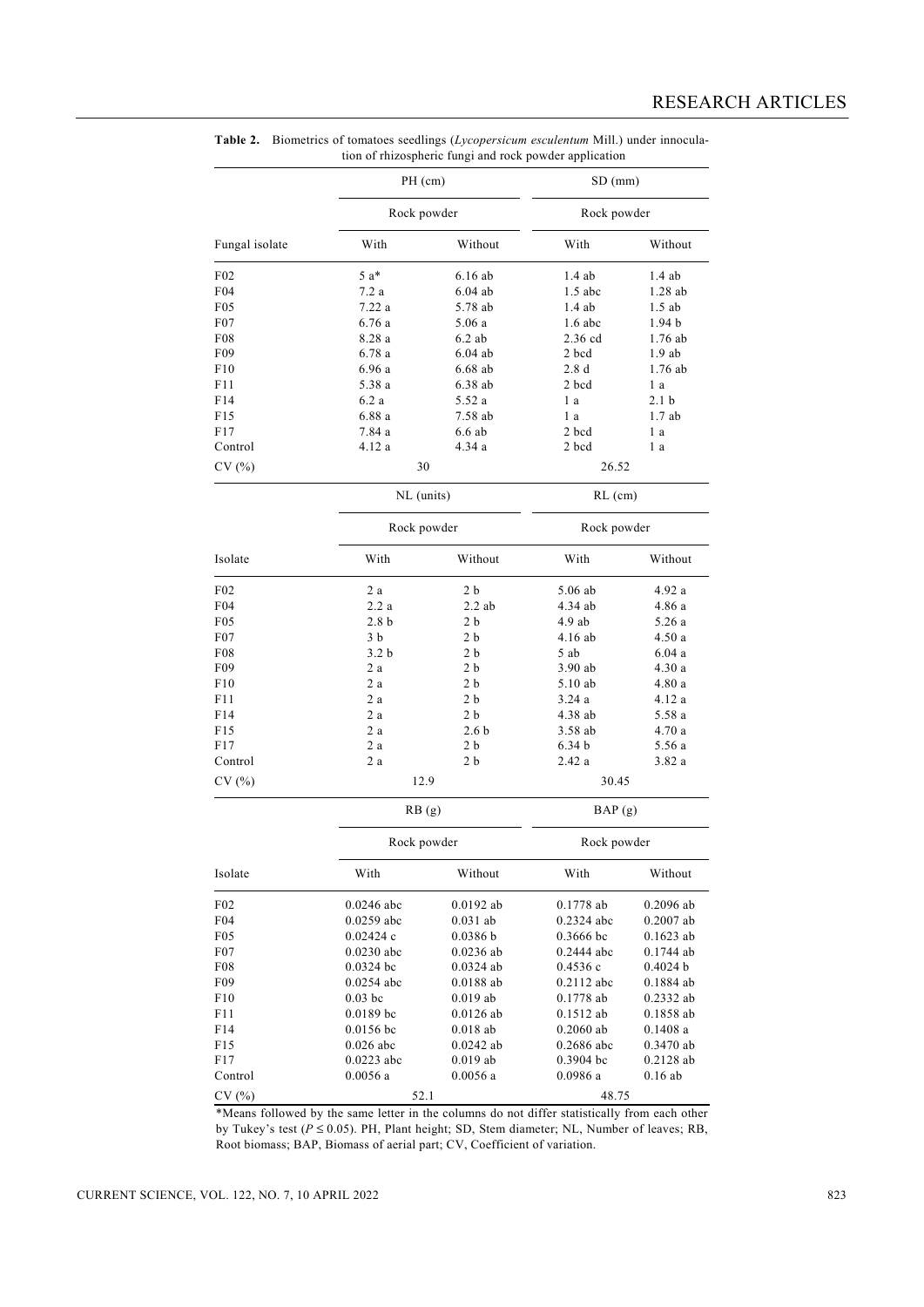|                 |                  | PH (cm)<br>Rock powder |                   | $SD$ (mm)<br>Rock powder |  |
|-----------------|------------------|------------------------|-------------------|--------------------------|--|
|                 |                  |                        |                   |                          |  |
| Fungal isolate  | With             | Without                | With              | Without                  |  |
| F02             | 5 a*             | 6.16ab                 | 1.4ab             | $1.4$ ab                 |  |
| F04             | 7.2 a            | $6.04$ ab              | $1.5$ abc         | 1.28ab                   |  |
| F <sub>05</sub> | 7.22 a           | 5.78 ab                | $1.4$ ab          | $1.5$ ab                 |  |
| F07             | 6.76 a           | 5.06a                  | $1.6$ abc         | 1.94 <sub>b</sub>        |  |
| F08             | 8.28 a           | $6.2$ ab               | $2.36$ cd         | $1.76$ ab                |  |
| F <sub>09</sub> | 6.78a            | $6.04$ ab              | 2 bcd             | 1.9ab                    |  |
| F10             | 6.96 a           | $6.68$ ab              | 2.8d              | $1.76$ ab                |  |
| F11             | 5.38 a           | 6.38 ab                | 2 bcd             | 1 a                      |  |
| F14             | 6.2a             | 5.52 a                 | 1 a               | 2.1 <sub>b</sub>         |  |
| F15             | 6.88a            | 7.58 ab                | 1 a               | 1.7ab                    |  |
| F17             | 7.84 a           | 6.6ab                  | 2 bcd             | 1 a                      |  |
| Control         | 4.12 a           | 4.34 a                 | 2 bcd             | 1 a                      |  |
| CV(%)           |                  | 30                     |                   | 26.52                    |  |
|                 |                  | NL (units)             |                   | $RL$ (cm)                |  |
|                 |                  | Rock powder            |                   | Rock powder              |  |
| Isolate         | With             | Without                | With              | Without                  |  |
| F02             | 2 a              | 2 b                    | $5.06$ ab         | 4.92 a                   |  |
| F04             | 2.2a             | 2.2ab                  | 4.34 ab           | 4.86 a                   |  |
| F05             | 2.8 <sub>b</sub> | 2 b                    | $4.9$ ab          | 5.26 a                   |  |
| F07             | 3 b              | 2 b                    | 4.16 ab           | 4.50 a                   |  |
| F08             | 3.2 <sub>b</sub> | 2 <sub>b</sub>         | 5 ab              | 6.04a                    |  |
| F09             | 2a               | 2 <sub>b</sub>         | $3.90$ ab         | 4.30 a                   |  |
| F10             | 2a               | 2 b                    | 5.10 ab           | 4.80 a                   |  |
| F11             | 2a               | 2 <sub>b</sub>         | 3.24a             | 4.12 a                   |  |
| F14             | 2a               | 2 <sub>b</sub>         | 4.38 ab           | 5.58 a                   |  |
| F15             | 2a               | 2.6 <sub>b</sub>       | 3.58 ab           | 4.70 a                   |  |
| F17             | 2 a              | 2 b                    | 6.34 <sub>b</sub> | 5.56 a                   |  |
| Control         | 2 a              | 2 b                    | 2.42a             | 3.82a                    |  |
|                 |                  |                        |                   |                          |  |
| CV(%)           |                  | 12.9                   |                   | 30.45                    |  |
|                 |                  | RB(g)                  |                   | BAP(g)                   |  |
|                 |                  | Rock powder            |                   | Rock powder              |  |
| Isolate         | With             | Without                | With              | Without                  |  |
| F02             | $0.0246$ abc     | $0.0192$ ab            | 0.1778 ab         | $0.2096$ ab              |  |
| F04             | 0.0259 abc       | $0.031$ ab             | 0.2324 abc        | $0.2007$ ab              |  |
| F <sub>05</sub> | 0.02424c         | 0.0386 b               | $0.3666$ bc       | $0.1623$ ab              |  |
| F07             | $0.0230$ abc     | $0.0236$ ab            | 0.2444 abc        | $0.1744$ ab              |  |
| F08             | $0.0324$ bc      | $0.0324$ ab            | 0.4536c           | 0.4024 b                 |  |
| F09             | $0.0254$ abc     | $0.0188$ ab            | 0.2112 abc        | 0.1884 ab                |  |
| F10             | $0.03$ bc        | $0.019$ ab             | $0.1778$ ab       | 0.2332 ab                |  |
| F11             | 0.0189 bc        | $0.0126\ \mathrm{ab}$  | 0.1512 ab         | 0.1858 ab                |  |
| F14             | $0.0156$ bc      | $0.018$ ab             | $0.2060$ ab       | 0.1408a                  |  |
| F15             | $0.026$ abc      | $0.0242$ ab            | $0.2686$ abc      | $0.3470$ ab              |  |
| F17             | 0.0223 abc       | $0.019$ ab             | $0.3904$ bc       | $0.2128$ ab              |  |
| Control         | 0.0056a          | 0.0056a                | 0.0986 a          | $0.16$ ab                |  |
| CV(%)           |                  | 52.1                   |                   | 48.75                    |  |

**Table 2.** Biometrics of tomatoes seedlings (*Lycopersicum esculentum* Mill.) under innocula tion of rhizospheric fungi and rock powder application

\*Means followed by the same letter in the columns do not differ statistically from each other by Tukey's test (*P* ≤ 0.05). PH, Plant height; SD, Stem diameter; NL, Number of leaves; RB, Root biomass; BAP, Biomass of aerial part; CV, Coefficient of variation.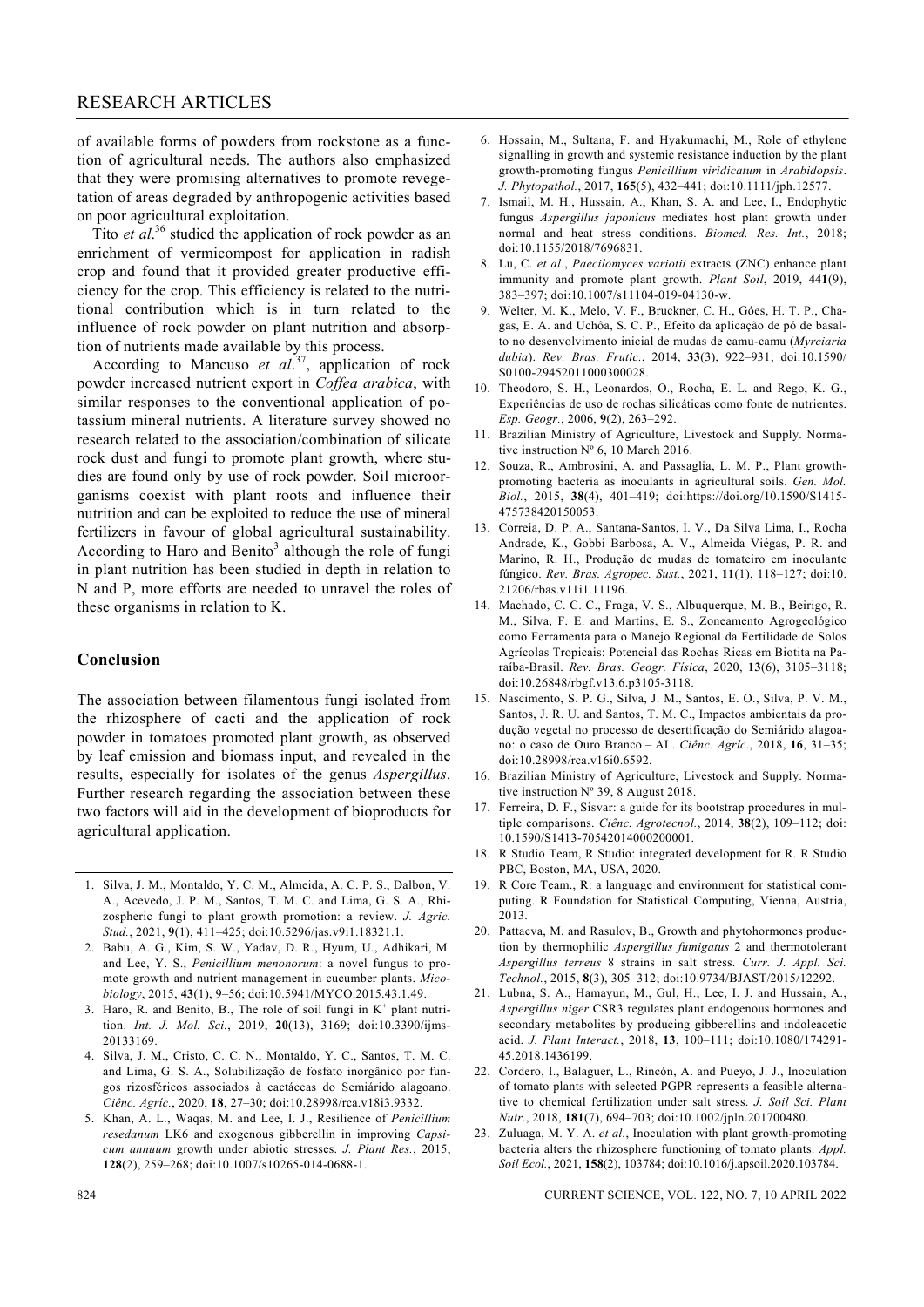of available forms of powders from rockstone as a function of agricultural needs. The authors also emphasized that they were promising alternatives to promote revegetation of areas degraded by anthropogenic activities based on poor agricultural exploitation.

Tito *et al.*<sup>36</sup> studied the application of rock powder as an enrichment of vermicompost for application in radish crop and found that it provided greater productive efficiency for the crop. This efficiency is related to the nutritional contribution which is in turn related to the influence of rock powder on plant nutrition and absorption of nutrients made available by this process.

 According to Mancuso *et al*. 37, application of rock powder increased nutrient export in *Coffea arabica*, with similar responses to the conventional application of potassium mineral nutrients. A literature survey showed no research related to the association/combination of silicate rock dust and fungi to promote plant growth, where studies are found only by use of rock powder. Soil microorganisms coexist with plant roots and influence their nutrition and can be exploited to reduce the use of mineral fertilizers in favour of global agricultural sustainability. According to Haro and Benito<sup>3</sup> although the role of fungi in plant nutrition has been studied in depth in relation to N and P, more efforts are needed to unravel the roles of these organisms in relation to K.

### **Conclusion**

The association between filamentous fungi isolated from the rhizosphere of cacti and the application of rock powder in tomatoes promoted plant growth, as observed by leaf emission and biomass input, and revealed in the results, especially for isolates of the genus *Aspergillus*. Further research regarding the association between these two factors will aid in the development of bioproducts for agricultural application.

- 1. Silva, J. M., Montaldo, Y. C. M., Almeida, A. C. P. S., Dalbon, V. A., Acevedo, J. P. M., Santos, T. M. C. and Lima, G. S. A., Rhizospheric fungi to plant growth promotion: a review. *J. Agric. Stud.*, 2021, **9**(1), 411–425; doi:10.5296/jas.v9i1.18321.1.
- 2. Babu, A. G., Kim, S. W., Yadav, D. R., Hyum, U., Adhikari, M. and Lee, Y. S., *Penicillium menonorum*: a novel fungus to promote growth and nutrient management in cucumber plants. *Micobiology*, 2015, **43**(1), 9–56; doi:10.5941/MYCO.2015.43.1.49.
- 3. Haro, R. and Benito, B., The role of soil fungi in  $K^+$  plant nutrition. *Int. J. Mol. Sci.*, 2019, **20**(13), 3169; doi:10.3390/ijms-20133169.
- 4. Silva, J. M., Cristo, C. C. N., Montaldo, Y. C., Santos, T. M. C. and Lima, G. S. A., Solubilização de fosfato inorgânico por fungos rizosféricos associados à cactáceas do Semiárido alagoano. *Ciênc. Agríc.*, 2020, **18**, 27–30; doi:10.28998/rca.v18i3.9332.
- 5. Khan, A. L., Waqas, M. and Lee, I. J., Resilience of *Penicillium resedanum* LK6 and exogenous gibberellin in improving *Capsicum annuum* growth under abiotic stresses. *J. Plant Res.*, 2015, **128**(2), 259–268; doi:10.1007/s10265-014-0688-1.
- 6. Hossain, M., Sultana, F. and Hyakumachi, M., Role of ethylene signalling in growth and systemic resistance induction by the plant growth-promoting fungus *Penicillium viridicatum* in *Arabidopsis*. *J. Phytopathol.*, 2017, **165**(5), 432–441; doi:10.1111/jph.12577.
- 7. Ismail, M. H., Hussain, A., Khan, S. A. and Lee, I., Endophytic fungus *Aspergillus japonicus* mediates host plant growth under normal and heat stress conditions. *Biomed. Res. Int.*, 2018; doi:10.1155/2018/7696831.
- 8. Lu, C. *et al.*, *Paecilomyces variotii* extracts (ZNC) enhance plant immunity and promote plant growth. *Plant Soil*, 2019, **441**(9), 383–397; doi:10.1007/s11104-019-04130-w.
- 9. Welter, M. K., Melo, V. F., Bruckner, C. H., Góes, H. T. P., Chagas, E. A. and Uchôa, S. C. P., Efeito da aplicação de pó de basalto no desenvolvimento inicial de mudas de camu-camu (*Myrciaria dubia*). *Rev. Bras. Frutic.*, 2014, **33**(3), 922–931; doi:10.1590/ S0100-29452011000300028.
- 10. Theodoro, S. H., Leonardos, O., Rocha, E. L. and Rego, K. G., Experiências de uso de rochas silicáticas como fonte de nutrientes. *Esp. Geogr.*, 2006, **9**(2), 263–292.
- 11. Brazilian Ministry of Agriculture, Livestock and Supply. Normative instruction Nº 6, 10 March 2016.
- 12. Souza, R., Ambrosini, A. and Passaglia, L. M. P., Plant growthpromoting bacteria as inoculants in agricultural soils. *Gen. Mol. Biol.*, 2015, **38**(4), 401–419; doi:https://doi.org/10.1590/S1415- 475738420150053.
- 13. Correia, D. P. A., Santana-Santos, I. V., Da Silva Lima, I., Rocha Andrade, K., Gobbi Barbosa, A. V., Almeida Viégas, P. R. and Marino, R. H., Produção de mudas de tomateiro em inoculante fúngico. *Rev. Bras. Agropec. Sust.*, 2021, **11**(1), 118–127; doi:10. 21206/rbas.v11i1.11196.
- 14. Machado, C. C. C., Fraga, V. S., Albuquerque, M. B., Beirigo, R. M., Silva, F. E. and Martins, E. S., Zoneamento Agrogeológico como Ferramenta para o Manejo Regional da Fertilidade de Solos Agrícolas Tropicais: Potencial das Rochas Ricas em Biotita na Paraíba-Brasil. *Rev. Bras. Geogr. Física*, 2020, **13**(6), 3105–3118; doi:10.26848/rbgf.v13.6.p3105-3118.
- 15. Nascimento, S. P. G., Silva, J. M., Santos, E. O., Silva, P. V. M., Santos, J. R. U. and Santos, T. M. C., Impactos ambientais da produção vegetal no processo de desertificação do Semiárido alagoano: o caso de Ouro Branco – AL. *Ciênc. Agríc*., 2018, **16**, 31–35; doi:10.28998/rca.v16i0.6592.
- 16. Brazilian Ministry of Agriculture, Livestock and Supply. Normative instruction Nº 39, 8 August 2018.
- 17. Ferreira, D. F., Sisvar: a guide for its bootstrap procedures in multiple comparisons. *Ciênc. Agrotecnol.*, 2014, **38**(2), 109–112; doi: 10.1590/S1413-70542014000200001.
- 18. R Studio Team, R Studio: integrated development for R. R Studio PBC, Boston, MA, USA, 2020.
- 19. R Core Team., R: a language and environment for statistical computing. R Foundation for Statistical Computing, Vienna, Austria, 2013.
- 20. Pattaeva, M. and Rasulov, B., Growth and phytohormones production by thermophilic *Aspergillus fumigatus* 2 and thermotolerant *Aspergillus terreus* 8 strains in salt stress. *Curr. J. Appl. Sci. Technol.*, 2015, **8**(3), 305–312; doi:10.9734/BJAST/2015/12292.
- 21. Lubna, S. A., Hamayun, M., Gul, H., Lee, I. J. and Hussain, A., *Aspergillus niger* CSR3 regulates plant endogenous hormones and secondary metabolites by producing gibberellins and indoleacetic acid. *J. Plant Interact.*, 2018, **13**, 100–111; doi:10.1080/174291- 45.2018.1436199.
- 22. Cordero, I., Balaguer, L., Rincón, A. and Pueyo, J. J., Inoculation of tomato plants with selected PGPR represents a feasible alternative to chemical fertilization under salt stress. *J. Soil Sci. Plant Nutr*., 2018, **181**(7), 694–703; doi:10.1002/jpln.201700480.
- 23. Zuluaga, M. Y. A. *et al.*, Inoculation with plant growth-promoting bacteria alters the rhizosphere functioning of tomato plants. *Appl. Soil Ecol.*, 2021, **158**(2), 103784; doi:10.1016/j.apsoil.2020.103784.